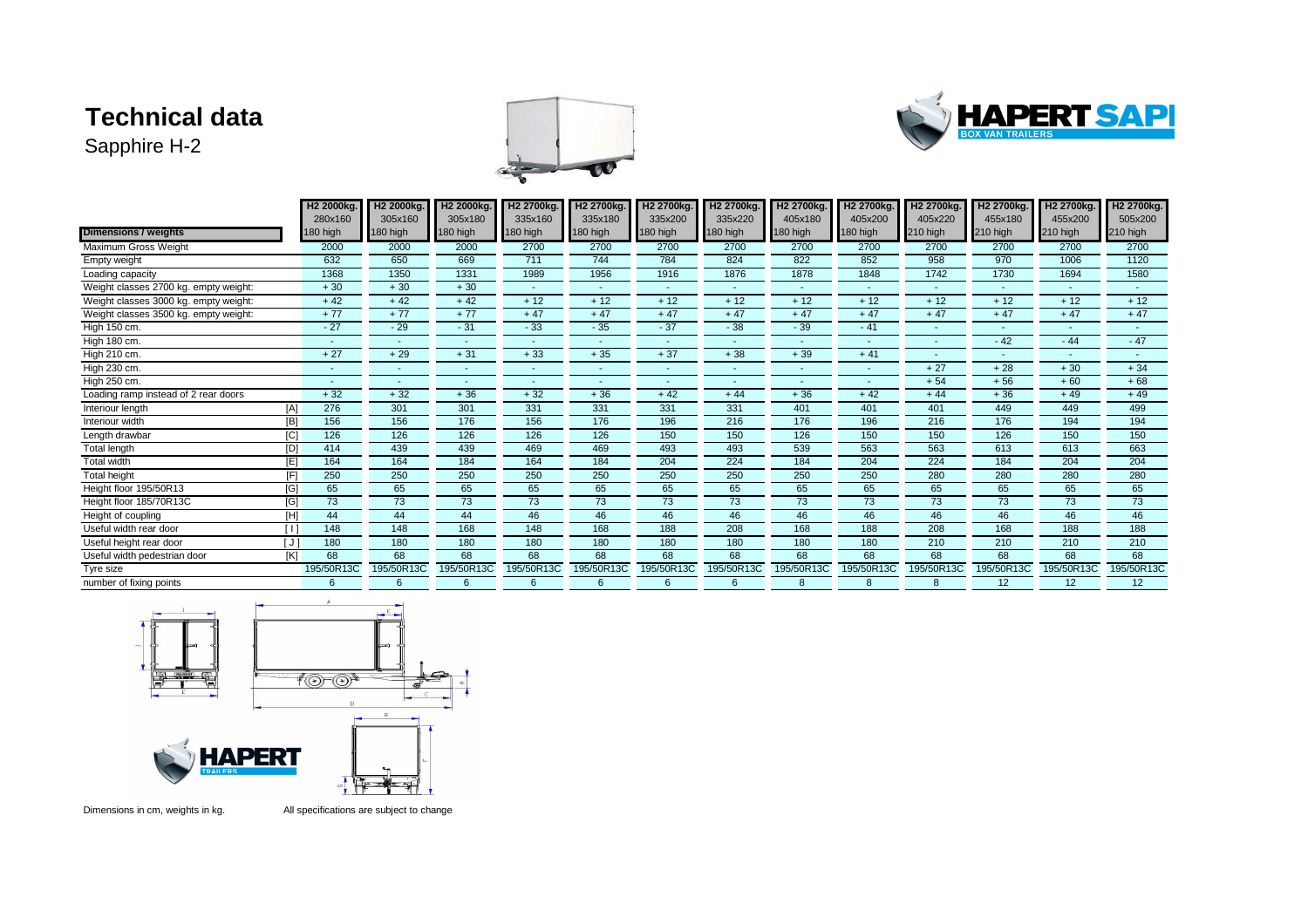## **Technical data**

Sapphire H-2





|                                       |                  | H <sub>2</sub> 2000kg | H <sub>2</sub> 2000kg. | H <sub>2</sub> 2000kg. | H <sub>2</sub> 2700kg. | H <sub>2</sub> 2700kg. | H <sub>2</sub> 2700kg. | H <sub>2</sub> 2700kg. | H <sub>2</sub> 2700kg. | H <sub>2</sub> 2700kg. | H <sub>2</sub> 2700kg. | H <sub>2</sub> 2700kg. | H <sub>2</sub> 2700kg.   | H <sub>2</sub> 2700kg. |
|---------------------------------------|------------------|-----------------------|------------------------|------------------------|------------------------|------------------------|------------------------|------------------------|------------------------|------------------------|------------------------|------------------------|--------------------------|------------------------|
|                                       |                  | 280x160               | 305x160                | 305x180                | 335x160                | 335x180                | 335x200                | 335x220                | 405x180                | 405x200                | 405x220                | 455x180                | 455x200                  | 505x200                |
| <b>Dimensions / weights</b>           |                  | 180 high              | 180 high               | 180 high               | 180 high               | 180 high               | 180 high               | 180 high               | 180 high               | 180 high               | 210 high               | 210 high               | 210 high                 | 210 high               |
| Maximum Gross Weight                  |                  | 2000                  | 2000                   | 2000                   | 2700                   | 2700                   | 2700                   | 2700                   | 2700                   | 2700                   | 2700                   | 2700                   | 2700                     | 2700                   |
| Empty weight                          |                  | 632                   | 650                    | 669                    | 711                    | 744                    | 784                    | 824                    | 822                    | 852                    | 958                    | 970                    | 1006                     | 1120                   |
| Loading capacity                      |                  | 1368                  | 1350                   | 1331                   | 1989                   | 1956                   | 1916                   | 1876                   | 1878                   | 1848                   | 1742                   | 1730                   | 1694                     | 1580                   |
| Weight classes 2700 kg. empty weight: |                  | $+30$                 | $+30$                  | $+30$                  |                        |                        |                        |                        |                        |                        |                        |                        |                          |                        |
| Weight classes 3000 kg. empty weight: |                  | $+42$                 | $+42$                  | $+42$                  | $+12$                  | $+12$                  | $+12$                  | $+12$                  | $+12$                  | $+12$                  | $+12$                  | $+12$                  | $+12$                    | $+12$                  |
| Weight classes 3500 kg. empty weight: |                  | $+77$                 | $+77$                  | $+77$                  | $+47$                  | $+47$                  | $+47$                  | $+47$                  | $+47$                  | $+47$                  | $+47$                  | $+47$                  | $+47$                    | $+47$                  |
| High 150 cm.                          |                  | $-27$                 | $-29$                  | $-31$                  | $-33$                  | $-35$                  | $-37$                  | $-38$                  | $-39$                  | $-41$                  | ٠                      |                        | $\overline{\phantom{a}}$ |                        |
| High 180 cm.                          |                  | <b>.</b>              |                        |                        |                        |                        |                        |                        |                        | $\sim$                 | ٠                      | $-42$                  | $-44$                    | $-47$                  |
| High 210 cm.                          |                  | $+27$                 | $+29$                  | $+31$                  | $+33$                  | $+35$                  | $+37$                  | $+38$                  | $+39$                  | $+41$                  | ٠                      |                        | $\overline{\phantom{a}}$ |                        |
| High 230 cm.                          |                  |                       |                        |                        |                        |                        |                        |                        |                        |                        | $+27$                  | $+28$                  | $+30$                    | $+34$                  |
| High 250 cm.                          |                  |                       |                        |                        |                        |                        |                        |                        |                        |                        | $+54$                  | $+56$                  | $+60$                    | $+68$                  |
| Loading ramp instead of 2 rear doors  |                  | $+32$                 | $+32$                  | $+36$                  | $+32$                  | $+36$                  | $+42$                  | $+44$                  | $+36$                  | $+42$                  | $+44$                  | $+36$                  | $+49$                    | $+49$                  |
| Interiour length                      | [A]              | 276                   | 301                    | 301                    | 331                    | 331                    | 331                    | 331                    | 401                    | 401                    | 401                    | 449                    | 449                      | 499                    |
| Interiour width                       | [B]              | 156                   | 156                    | 176                    | 156                    | 176                    | 196                    | 216                    | 176                    | 196                    | 216                    | 176                    | 194                      | 194                    |
| Length drawbar                        | C                | 126                   | 126                    | 126                    | 126                    | 126                    | 150                    | 150                    | 126                    | 150                    | 150                    | 126                    | 150                      | 150                    |
| Total length                          | $\overline{[D]}$ | 414                   | 439                    | 439                    | 469                    | 469                    | 493                    | 493                    | 539                    | 563                    | 563                    | 613                    | 613                      | 663                    |
| <b>Total width</b>                    | [E]              | 164                   | 164                    | 184                    | 164                    | 184                    | 204                    | 224                    | 184                    | 204                    | 224                    | 184                    | 204                      | 204                    |
| Total height                          | F                | 250                   | 250                    | 250                    | 250                    | 250                    | 250                    | 250                    | 250                    | 250                    | 280                    | 280                    | 280                      | 280                    |
| Height floor 195/50R13                | [G]              | 65                    | 65                     | 65                     | 65                     | 65                     | 65                     | 65                     | 65                     | 65                     | 65                     | 65                     | 65                       | 65                     |
| Height floor 185/70R13C               | [G]              | 73                    | 73                     | 73                     | 73                     | 73                     | 73                     | 73                     | 73                     | 73                     | 73                     | 73                     | 73                       | 73                     |
| Height of coupling                    | [H]              | 44                    | 44                     | 44                     | 46                     | 46                     | 46                     | 46                     | 46                     | 46                     | 46                     | 46                     | 46                       | 46                     |
| Useful width rear door                | ſΙ               | 148                   | 148                    | 168                    | 148                    | 168                    | 188                    | 208                    | 168                    | 188                    | 208                    | 168                    | 188                      | 188                    |
| Useful height rear door               | [J]              | 180                   | 180                    | 180                    | 180                    | 180                    | 180                    | 180                    | 180                    | 180                    | 210                    | 210                    | 210                      | 210                    |
| Useful width pedestrian door          | [K]              | 68                    | 68                     | 68                     | 68                     | 68                     | 68                     | 68                     | 68                     | 68                     | 68                     | 68                     | 68                       | 68                     |
| Tyre size                             |                  | 195/50R13C            | 195/50R13C             | 195/50R13C             | 195/50R13C             | 195/50R13C             | 195/50R13C             | 195/50R13C             | 195/50R13C             | 195/50R13C             | 195/50R13C             | 195/50R13C             | 195/50R13C               | 195/50R13C             |
| number of fixing points               |                  | 6                     | 6                      | 6                      | 6                      | 6                      | 6                      | 6                      | 8                      | 8                      | 8                      | 12                     | 12 <sup>2</sup>          | 12                     |



Dimensions in cm, weights in kg. All specifications are subject to change